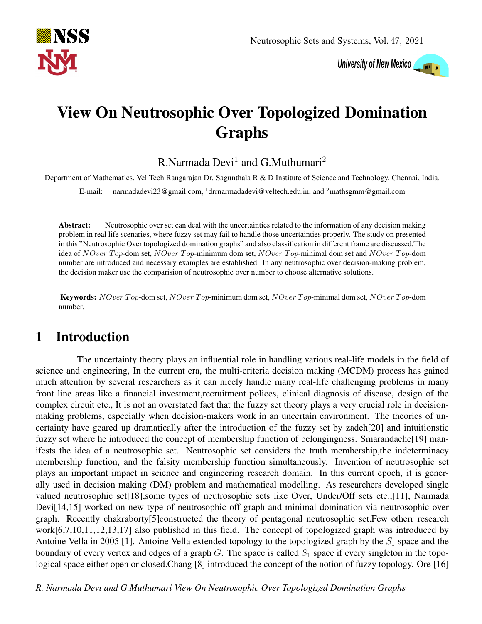

University of New Mexico

# View On Neutrosophic Over Topologized Domination Graphs

R.Narmada Devi $^1$  and G.Muthumari $^2$ 

Department of Mathematics, Vel Tech Rangarajan Dr. Sagunthala R & D Institute of Science and Technology, Chennai, India.

E-mail:  $^{-1}$ narmadadevi23@gmail.com,  $^{1}$ drrnarmadadevi@veltech.edu.in, and  $^{2}$ mathsgmm@gmail.com

Abstract: Neutrosophic over set can deal with the uncertainties related to the information of any decision making problem in real life scenaries, where fuzzy set may fail to handle those uncertainties properly. The study on presented in this "Neutrosophic Over topologized domination graphs" and also classification in different frame are discussed.The idea of NOver Top-dom set, NOver Top-minimum dom set, NOver Top-minimal dom set and NOver Top-dom number are introduced and necessary examples are established. In any neutrosophic over decision-making problem, the decision maker use the comparision of neutrosophic over number to choose alternative solutions.

Keywords: NOver Top-dom set, NOver Top-minimum dom set, NOver Top-minimal dom set, NOver Top-dom number.

# 1 Introduction

The uncertainty theory plays an influential role in handling various real-life models in the field of science and engineering, In the current era, the multi-criteria decision making (MCDM) process has gained much attention by several researchers as it can nicely handle many real-life challenging problems in many front line areas like a financial investment,recruitment polices, clinical diagnosis of disease, design of the complex circuit etc., It is not an overstated fact that the fuzzy set theory plays a very crucial role in decisionmaking problems, especially when decision-makers work in an uncertain environment. The theories of uncertainty have geared up dramatically after the introduction of the fuzzy set by zadeh[20] and intuitionstic fuzzy set where he introduced the concept of membership function of belongingness. Smarandache[19] manifests the idea of a neutrosophic set. Neutrosophic set considers the truth membership,the indeterminacy membership function, and the falsity membership function simultaneously. Invention of neutrosophic set plays an important impact in science and engineering research domain. In this current epoch, it is generally used in decision making (DM) problem and mathematical modelling. As researchers developed single valued neutrosophic set[18],some types of neutrosophic sets like Over, Under/Off sets etc.,[11], Narmada Devi[14,15] worked on new type of neutrosophic off graph and minimal domination via neutrosophic over graph. Recently chakraborty[5]constructed the theory of pentagonal neutrosophic set.Few otherr research work[6,7,10,11,12,13,17] also published in this field. The concept of topologized graph was introduced by Antoine Vella in 2005 [1]. Antoine Vella extended topology to the topologized graph by the  $S_1$  space and the boundary of every vertex and edges of a graph  $G$ . The space is called  $S_1$  space if every singleton in the topological space either open or closed.Chang [8] introduced the concept of the notion of fuzzy topology. Ore [16]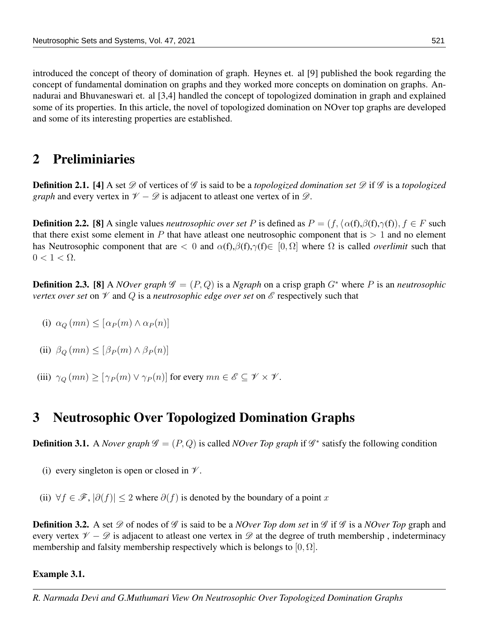introduced the concept of theory of domination of graph. Heynes et. al [9] published the book regarding the concept of fundamental domination on graphs and they worked more concepts on domination on graphs. Annadurai and Bhuvaneswari et. al [3,4] handled the concept of topologized domination in graph and explained some of its properties. In this article, the novel of topologized domination on NOver top graphs are developed and some of its interesting properties are established.

### 2 Preliminiaries

**Definition 2.1.** [4] A set  $\mathscr D$  of vertices of  $\mathscr G$  is said to be a *topologized domination set*  $\mathscr D$  if  $\mathscr G$  is a *topologized graph* and every vertex in  $V - \mathcal{D}$  is adjacent to atleast one vertex of in  $\mathcal{D}$ .

**Definition 2.2.** [8] A single values *neutrosophic over set* P is defined as  $P = (f, \langle \alpha(f), \beta(f), \gamma(f) \rangle, f \in F$  such that there exist some element in P that have at least one neutrosophic component that is  $> 1$  and no element has Neutrosophic component that are  $\langle 0 \rangle$  and  $\alpha(f), \beta(f), \gamma(f) \in [0, \Omega]$  where  $\Omega$  is called *overlimit* such that  $0 < 1 < \Omega$ .

**Definition 2.3.** [8] A *NOver graph*  $\mathscr{G} = (P, Q)$  is a *Ngraph* on a crisp graph  $G^*$  where P is an *neutrosophic vertex over set* on  $\mathcal V$  and  $Q$  is a *neutrosophic edge over set* on  $\mathcal E$  respectively such that

- (i)  $\alpha_Q$   $(mn) \leq [\alpha_P(m) \wedge \alpha_P(n)]$
- (ii)  $\beta_Q$   $(mn) \leq [\beta_P(m) \wedge \beta_P(n)]$
- (iii)  $\gamma_Q(mn) \geq [\gamma_P(m) \vee \gamma_P(n)]$  for every  $mn \in \mathscr{E} \subseteq \mathscr{V} \times \mathscr{V}$ .

### 3 Neutrosophic Over Topologized Domination Graphs

**Definition 3.1.** A *Nover graph*  $\mathscr{G} = (P, Q)$  is called *NOver Top graph* if  $\mathscr{G}^*$  satisfy the following condition

- (i) every singleton is open or closed in  $\mathcal V$ .
- (ii)  $\forall f \in \mathscr{F}, |\partial(f)| \leq 2$  where  $\partial(f)$  is denoted by the boundary of a point x

**Definition 3.2.** A set  $\mathscr D$  of nodes of  $\mathscr G$  is said to be a *NOver Top dom set* in  $\mathscr G$  if  $\mathscr G$  is a *NOver Top* graph and every vertex  $\mathcal{V} - \mathcal{D}$  is adjacent to atleast one vertex in  $\mathcal{D}$  at the degree of truth membership, indeterminacy membership and falsity membership respectively which is belongs to  $[0, \Omega]$ .

### Example 3.1.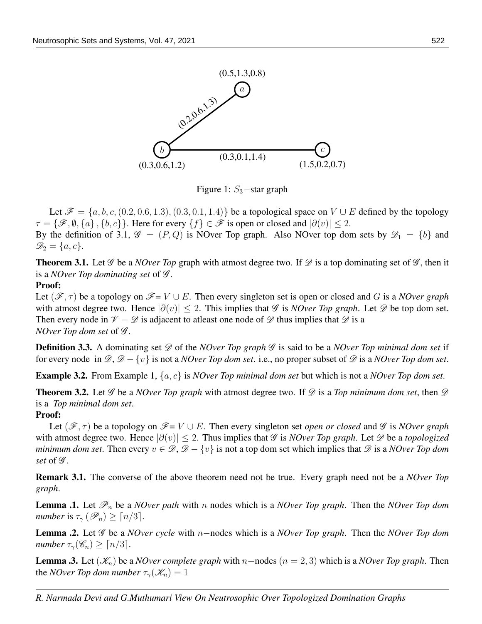

Figure 1:  $S_3$  – star graph

Let  $\mathscr{F} = \{a, b, c, (0.2, 0.6, 1.3), (0.3, 0.1, 1.4)\}\$ be a topological space on  $V \cup E$  defined by the topology  $\tau = {\{\mathscr{F}, \emptyset, \{a\}, \{b, c\}\}\.}$  Here for every  $\{f\} \in \mathscr{F}$  is open or closed and  $|\partial(v)| \leq 2$ . By the definition of 3.1,  $\mathscr{G} = (P, Q)$  is NOver Top graph. Also NOver top dom sets by  $\mathscr{D}_1 = \{b\}$  and

 $\mathscr{D}_2 = \{a, c\}.$ 

**Theorem 3.1.** Let  $\mathscr G$  be a *NOver Top* graph with atmost degree two. If  $\mathscr D$  is a top dominating set of  $\mathscr G$ , then it is a *NOver Top dominating set* of G .

### Proof:

Let  $(\mathscr{F}, \tau)$  be a topology on  $\mathscr{F} = V \cup E$ . Then every singleton set is open or closed and G is a *NOver graph* with atmost degree two. Hence  $|\partial(v)| \leq 2$ . This implies that *G* is *NOver Top graph*. Let  $\mathscr D$  be top dom set. Then every node in  $\mathcal{V} - \mathcal{D}$  is adjacent to atleast one node of  $\mathcal{D}$  thus implies that  $\mathcal{D}$  is a *NOver Top dom set* of  $\mathscr G$ .

**Definition 3.3.** A dominating set  $\mathscr D$  of the *NOver Top graph*  $\mathscr G$  is said to be a *NOver Top minimal dom set* if for every node in  $\mathscr{D}, \mathscr{D} - \{v\}$  is not a *NOver Top dom set.* i.e., no proper subset of  $\mathscr{D}$  is a *NOver Top dom set.* 

Example 3.2. From Example 1, {a, c} is *NOver Top minimal dom set* but which is not a *NOver Top dom set*.

**Theorem 3.2.** Let  $\mathscr G$  be a *NOver Top graph* with atmost degree two. If  $\mathscr D$  is a *Top minimum dom set*, then  $\mathscr D$ is a *Top minimal dom set*.

Proof:

Let  $(\mathscr{F}, \tau)$  be a topology on  $\mathscr{F} = V \cup E$ . Then every singleton set *open or closed* and  $\mathscr{G}$  is *NOver graph* with atmost degree two. Hence  $|\partial(v)| \leq 2$ . Thus implies that *G* is *NOver Top graph*. Let  $\mathscr D$  be a *topologized minimum dom set*. Then every  $v \in \mathcal{D}, \mathcal{D} - \{v\}$  is not a top dom set which implies that  $\mathcal D$  is a *NOver Top dom set* of  $\mathscr G$ .

Remark 3.1. The converse of the above theorem need not be true. Every graph need not be a *NOver Top graph*.

**Lemma .1.** Let  $\mathcal{P}_n$  be a *NOver path* with n nodes which is a *NOver Top graph*. Then the *NOver Top dom number* is  $\tau_{\gamma}(\mathscr{P}_n) \geq \lceil n/3 \rceil$ .

Lemma .2. Let G be a *NOver cycle* with n−nodes which is a *NOver Top graph*. Then the *NOver Top dom number*  $\tau_{\gamma}(\mathscr{C}_n) \geq \lceil n/3 \rceil$ .

**Lemma .3.** Let  $(\mathcal{K}_n)$  be a *NOver complete graph* with n−nodes  $(n = 2, 3)$  which is a *NOver Top graph*. Then the *NOver Top dom number*  $\tau_{\gamma}(\mathscr{K}_n) = 1$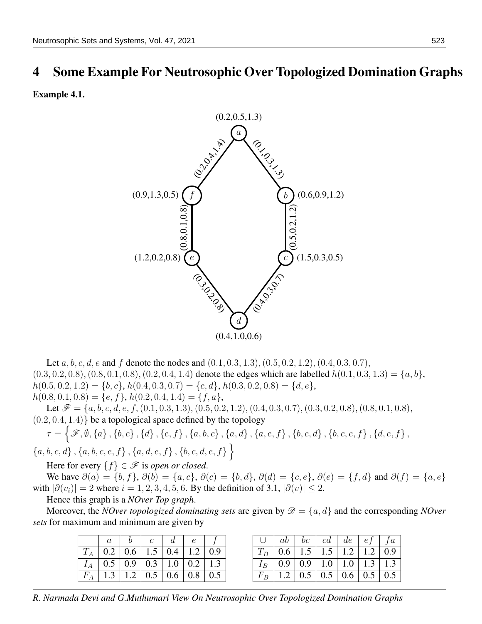## 4 Some Example For Neutrosophic Over Topologized Domination Graphs

### Example 4.1.



Let a, b, c, d, e and f denote the nodes and  $(0.1, 0.3, 1.3), (0.5, 0.2, 1.2), (0.4, 0.3, 0.7)$ ,  $(0.3, 0.2, 0.8), (0.8, 0.1, 0.8), (0.2, 0.4, 1.4)$  denote the edges which are labelled  $h(0.1, 0.3, 1.3) = \{a, b\},\$  $h(0.5, 0.2, 1.2) = \{b, c\}, h(0.4, 0.3, 0.7) = \{c, d\}, h(0.3, 0.2, 0.8) = \{d, e\},\$  $h(0.8, 0.1, 0.8) = \{e, f\}, h(0.2, 0.4, 1.4) = \{f, a\},\$ 

Let  $\mathscr{F} = \{a, b, c, d, e, f, (0.1, 0.3, 1.3), (0.5, 0.2, 1.2), (0.4, 0.3, 0.7), (0.3, 0.2, 0.8), (0.8, 0.1, 0.8),\}$  $(0.2, 0.4, 1.4)$ } be a topological space defined by the topology

$$
\tau=\left\{\mathscr{F},\emptyset,\left\{a\right\},\left\{b,c\right\},\left\{d\right\},\left\{e,f\right\},\left\{a,b,c\right\},\left\{a,d\right\},\left\{a,e,f\right\},\left\{b,c,d\right\},\left\{b,c,e,f\right\},\left\{d,e,f\right\},
$$

 ${a, b, c, d}, {a, b, c, e, f}, {a, d, e, f}, {b, c, d, e, f}$ 

Here for every  $\{f\} \in \mathcal{F}$  is *open or closed*.

We have  $\partial(a) = \{b, f\}, \partial(b) = \{a, c\}, \partial(c) = \{b, d\}, \partial(d) = \{c, e\}, \partial(e) = \{f, d\}$  and  $\partial(f) = \{a, e\}$ with  $|\partial(v_i)| = 2$  where  $i = 1, 2, 3, 4, 5, 6$ . By the definition of 3.1,  $|\partial(v)| \leq 2$ .

Hence this graph is a *NOver Top graph*.

Moreover, the *NOver topologized dominating sets* are given by  $\mathscr{D} = \{a, d\}$  and the corresponding *NOver sets* for maximum and minimum are given by

|             | $\overline{a}$                            |                                     | d | $\left  e\right $ |                                                                     |
|-------------|-------------------------------------------|-------------------------------------|---|-------------------|---------------------------------------------------------------------|
|             | $T_A$   0.2   0.6   1.5   0.4   1.2   0.9 |                                     |   |                   |                                                                     |
| $I_A$       |                                           |                                     |   |                   | $\vert 0.5 \vert 0.9 \vert 0.3 \vert 1.0 \vert 0.2 \vert 1.3 \vert$ |
| $F_A \perp$ |                                           | $1.3$   1.2   0.5   0.6   0.8   0.5 |   |                   |                                                                     |

| $\cup$ |  |  | $ab \mid bc \mid cd \mid de \mid ef \mid fa \mid$ |
|--------|--|--|---------------------------------------------------|
|        |  |  | $T_B$   0.6   1.5   1.5   1.2   1.2   0.9         |
|        |  |  | $I_B$   0.9   0.9   1.0   1.0   1.3   1.3         |
|        |  |  | $F_B$   1.2   0.5   0.5   0.6   0.5   0.5         |

*R. Narmada Devi and G.Muthumari View On Neutrosophic Over Topologized Domination Graphs*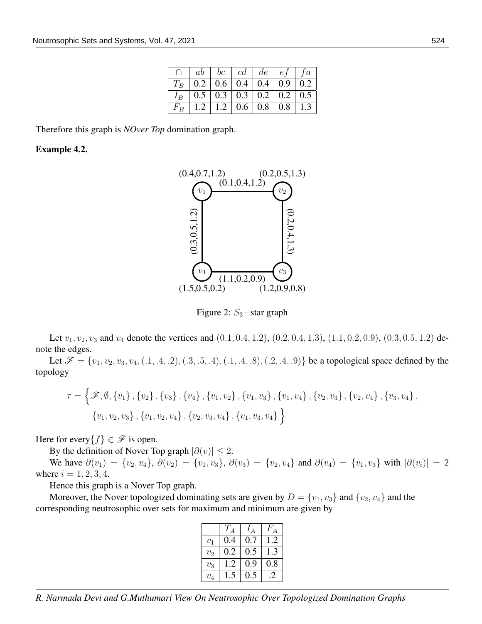|             |                                           |  | $ab \mid bc \mid cd \mid de \mid ef \mid fa$ |  |
|-------------|-------------------------------------------|--|----------------------------------------------|--|
|             | $T_B$   0.2   0.6   0.4   0.4   0.9   0.2 |  |                                              |  |
|             | $I_B$   0.5   0.3   0.3   0.2   0.2   0.5 |  |                                              |  |
| $F_B \perp$ |                                           |  | $1.2$   1.2   0.6   0.8   0.8   1.3          |  |

Therefore this graph is *NOver Top* domination graph.

#### Example 4.2.



Figure 2:  $S_3$  – star graph

Let  $v_1, v_2, v_3$  and  $v_4$  denote the vertices and  $(0.1, 0.4, 1.2), (0.2, 0.4, 1.3), (1.1, 0.2, 0.9), (0.3, 0.5, 1.2)$  denote the edges.

Let  $\mathscr{F} = \{v_1, v_2, v_3, v_4, (.1, .4, .2), (.3, .5, .4), (.1, .4, .8), (.2, .4, .9)\}\)$  be a topological space defined by the topology

$$
\tau = \left\{ \mathscr{F}, \emptyset, \{v_1\}, \{v_2\}, \{v_3\}, \{v_4\}, \{v_1, v_2\}, \{v_1, v_3\}, \{v_1, v_4\}, \{v_2, v_3\}, \{v_2, v_4\}, \{v_3, v_4\}, \{v_1, v_2, v_3\}, \{v_1, v_2, v_4\}, \{v_2, v_3, v_4\}, \{v_1, v_3, v_4\} \right\}
$$

Here for every  $\{f\} \in \mathscr{F}$  is open.

By the definition of Nover Top graph  $|\partial(v)| \leq 2$ .

We have  $\partial(v_1) = \{v_2, v_4\}, \ \partial(v_2) = \{v_1, v_3\}, \ \partial(v_3) = \{v_2, v_4\}$  and  $\partial(v_4) = \{v_1, v_3\}$  with  $|\partial(v_i)| = 2$ where  $i = 1, 2, 3, 4$ .

Hence this graph is a Nover Top graph.

Moreover, the Nover topologized dominating sets are given by  $D = \{v_1, v_3\}$  and  $\{v_2, v_4\}$  and the corresponding neutrosophic over sets for maximum and minimum are given by

|       | $T_A$ | $I_A$ | $F_A$                       |
|-------|-------|-------|-----------------------------|
| $v_1$ | 0.4   | 0.7   | I.2                         |
| $v_2$ | 0.2   | 0.5   | 1.3                         |
| $v_3$ | 1.2   | 0.9   | 0.8                         |
| $v_4$ |       | 0.5   | $\mathcal{D}_{\mathcal{A}}$ |

*R. Narmada Devi and G.Muthumari View On Neutrosophic Over Topologized Domination Graphs*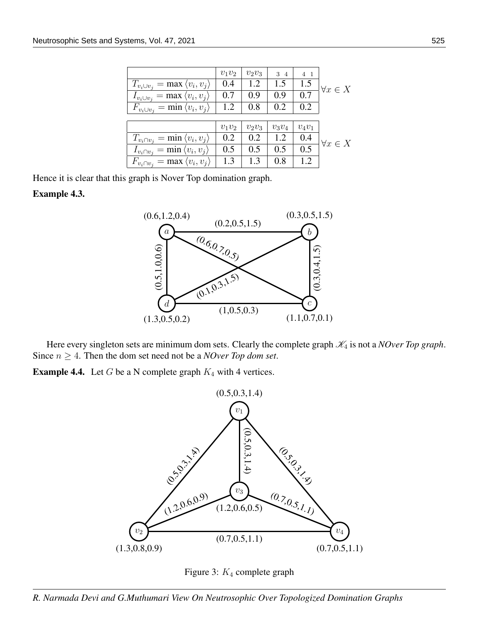|                                                    | $v_1v_2$ | $v_2v_3$      | 3 4      | 4 <sub>1</sub>   |                   |
|----------------------------------------------------|----------|---------------|----------|------------------|-------------------|
| $T_{v_i \cup v_j} = \max \langle v_i, v_j \rangle$ | 0.4      | 1.2           | 1.5      | 1.5              | $\forall x \in X$ |
| $I_{v_i \cup v_j} = \max \langle v_i, v_j \rangle$ | 0.7      | 0.9           | 0.9      | $\overline{0.7}$ |                   |
| $F_{v_i \cup v_j} = \min \langle v_i, v_j \rangle$ | 1.2      | 0.8           | 0.2      | 0.2              |                   |
|                                                    |          |               |          |                  |                   |
|                                                    | $v_1v_2$ | $v_2v_3$      | $v_3v_4$ | $v_4v_1$         |                   |
| $T_{v_i \cap v_j} = \min \langle v_i, v_j \rangle$ | 0.2      | 0.2           | 1.2      | 0.4              | $\forall x \in X$ |
| $I_{v_i \cap v_j} = \min \langle v_i, v_j \rangle$ | 0.5      | $0.5^{\circ}$ | 0.5      | $\overline{0.5}$ |                   |
| $F_{v_i \cap v_j} = \max \langle v_i, v_j \rangle$ | 1.3      | 1.3           | 0.8      | 1.2              |                   |

Hence it is clear that this graph is Nover Top domination graph.

### Example 4.3.



Here every singleton sets are minimum dom sets. Clearly the complete graph  $\mathcal{K}_4$  is not a *NOver Top graph*. Since  $n \geq 4$ . Then the dom set need not be a *NOver Top dom set*.

**Example 4.4.** Let G be a N complete graph  $K_4$  with 4 vertices.



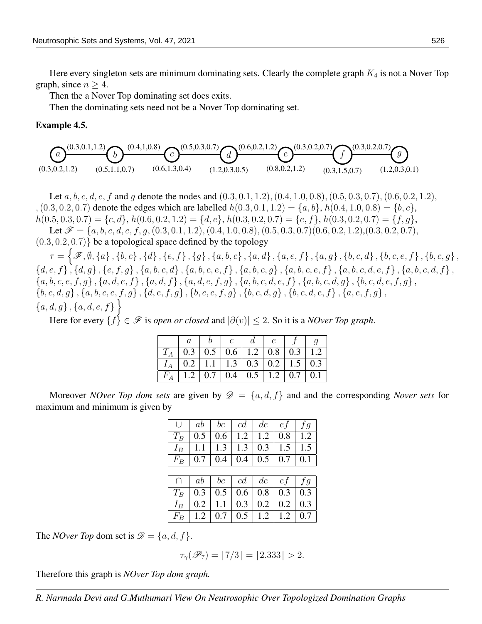Here every singleton sets are minimum dominating sets. Clearly the complete graph  $K_4$  is not a Nover Top graph, since  $n \geq 4$ .

Then the a Nover Top dominating set does exits.

Then the dominating sets need not be a Nover Top dominating set.

#### Example 4.5.



Let a, b, c, d, e, f and q denote the nodes and  $(0.3, 0.1, 1.2), (0.4, 1.0, 0.8), (0.5, 0.3, 0.7), (0.6, 0.2, 1.2),$  $, (0.3, 0.2, 0.7)$  denote the edges which are labelled  $h(0.3, 0.1, 1.2) = \{a, b\}, h(0.4, 1.0, 0.8) = \{b, c\},\$  $h(0.5, 0.3, 0.7) = \{c, d\}, h(0.6, 0.2, 1.2) = \{d, e\}, h(0.3, 0.2, 0.7) = \{e, f\}, h(0.3, 0.2, 0.7) = \{f, g\}, h(0.3, 0.2, 0.7) = \{f, g\}$ Let  $\mathscr{F} = \{a, b, c, d, e, f, g, (0.3, 0.1, 1.2), (0.4, 1.0, 0.8), (0.5, 0.3, 0.7), (0.6, 0.2, 1.2), (0.3, 0.2, 0.7),$ 

 $(0.3, 0.2, 0.7)$ } be a topological space defined by the topology

 $\tau=\left\{\mathscr{F},\emptyset,\left\{a\right\},\left\{b,c\right\},\left\{d\right\},\left\{e,f\right\},\left\{g\right\},\left\{a,b,c\right\},\left\{a,d\right\},\left\{a,e,f\right\},\left\{a,g\right\},\left\{b,c,d\right\},\left\{b,c,e,f\right\},\left\{b,c,g\right\},$  ${d,e,f}, {d,g}, {e,f,g}, {a,b,c,d}, {a,b,c,e,f}, {a,b,c,g}, {a,b,c,e,f}, {a,b,c,d,e,f}, {a,b,c,d,f},$  ${a, b, c, e, f, g}, {a, d, e, f}, {a, d, f}, {a, d, e, f, g}, {a, b, c, d, e, f}, {a, b, c, d, g}, {b, c, d, e, f, g},$  $\{b, c, d, g\}$ ,  $\{a, b, c, e, f, g\}$ ,  $\{d, e, f, g\}$ ,  $\{b, c, e, f, g\}$ ,  $\{b, c, d, g\}$ ,  $\{b, c, d, e, f\}$ ,  $\{a, e, f, g\}$ ,  ${a,d,g}, {a,d,e,f}$ 

Here for every  $\{f\} \in \mathcal{F}$  is *open or closed* and  $|\partial(v)| \leq 2$ . So it is a *NOver Top graph*.

| $\boldsymbol{a}$                                |  | d |  |  |
|-------------------------------------------------|--|---|--|--|
| $T_A$   0.3   0.5   0.6   1.2   0.8   0.3   1.2 |  |   |  |  |
| $I_A$   0.2   1.1   1.3   0.3   0.2   1.5   0.3 |  |   |  |  |
| $F_A$   1.2   0.7   0.4   0.5   1.2   0.7   0.1 |  |   |  |  |

Moreover *NOver Top dom sets* are given by  $\mathscr{D} = \{a, d, f\}$  and and the corresponding *Nover sets* for maximum and minimum is given by

|  |  | $\cup \mid ab \mid bc \mid cd \mid de \mid ef \mid fg$           |  |
|--|--|------------------------------------------------------------------|--|
|  |  | $ T_B $ 0.5   0.6   1.2   1.2   0.8   1.2                        |  |
|  |  | $\mid I_B \mid 1.1 \mid 1.3 \mid 1.3 \mid 0.3 \mid 1.5 \mid 1.5$ |  |
|  |  | $\mid F_B \mid 0.7 \mid 0.4 \mid 0.4 \mid 0.5 \mid 0.7 \mid 0.1$ |  |
|  |  |                                                                  |  |

|                                           |  | $ab \mid bc \mid cd \mid de \mid ef \mid fq$ |  |
|-------------------------------------------|--|----------------------------------------------|--|
| $T_B$   0.3   0.5   0.6   0.8   0.3   0.3 |  |                                              |  |
| $I_B$   0.2   1.1   0.3   0.2   0.2   0.3 |  |                                              |  |
| $F_B$   1.2   0.7   0.5   1.2   1.2   0.7 |  |                                              |  |

The *NOver Top* dom set is  $\mathcal{D} = \{a, d, f\}.$ 

$$
\tau_{\gamma}(\mathscr{P}_7) = [7/3] = [2.333] > 2.
$$

Therefore this graph is *NOver Top dom graph.*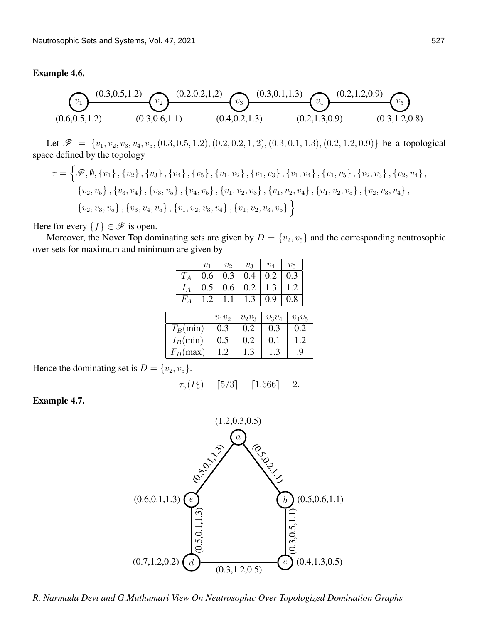#### Example 4.6.



Let  $\mathscr{F} = \{v_1, v_2, v_3, v_4, v_5, (0.3, 0.5, 1.2), (0.2, 0.2, 1, 2), (0.3, 0.1, 1.3), (0.2, 1.2, 0.9)\}\)$  be a topological space defined by the topology

$$
\tau = \left\{ \mathscr{F}, \emptyset, \{v_1\}, \{v_2\}, \{v_3\}, \{v_4\}, \{v_5\}, \{v_1, v_2\}, \{v_1, v_3\}, \{v_1, v_4\}, \{v_1, v_5\}, \{v_2, v_3\}, \{v_2, v_4\}, \{v_2, v_5\}, \{v_3, v_4\}, \{v_3, v_5\}, \{v_4, v_5\}, \{v_1, v_2, v_3\}, \{v_1, v_2, v_4\}, \{v_1, v_2, v_5\}, \{v_2, v_3, v_4\}, \{v_2, v_3, v_5\}, \{v_3, v_4, v_5\}, \{v_1, v_2, v_3, v_4\}, \{v_1, v_2, v_3, v_5\} \right\}
$$

Here for every  $\{f\} \in \mathscr{F}$  is open.

Moreover, the Nover Top dominating sets are given by  $D = \{v_2, v_5\}$  and the corresponding neutrosophic over sets for maximum and minimum are given by

|                   |             | $v_1$ |     | $v_2$    | $v_3$    | $v_4$          | $v_{5}$  |  |
|-------------------|-------------|-------|-----|----------|----------|----------------|----------|--|
|                   | $T_A$       | 0.6   |     | 0.3      | 0.4      | 0.2            | 0.3      |  |
|                   | $I_A$       | 0.5   |     | 0.6      | 0.2      | 1.3            | 1.2      |  |
|                   | $F_A$       | 1.2   |     | 1.1      | 1.3      | 0.9            | 0.8      |  |
|                   |             |       |     |          |          |                |          |  |
|                   |             |       |     | $v_1v_2$ | $v_2v_3$ | $v_3v_4$       | $v_4v_5$ |  |
| $T_B(\text{min})$ |             |       | 0.3 | 0.2      | 0.3      | 0.2            |          |  |
| $I_B(\text{min})$ |             |       | 0.5 | 0.2      | 0.1      | 1.2            |          |  |
|                   | $F_B$ (max) |       | 1.2 | 1.3      | 1.3      | $\overline{0}$ |          |  |

Hence the dominating set is  $D = \{v_2, v_5\}.$ 

$$
\tau_{\gamma}(P_5) = \lceil 5/3 \rceil = \lceil 1.666 \rceil = 2.
$$

#### Example 4.7.

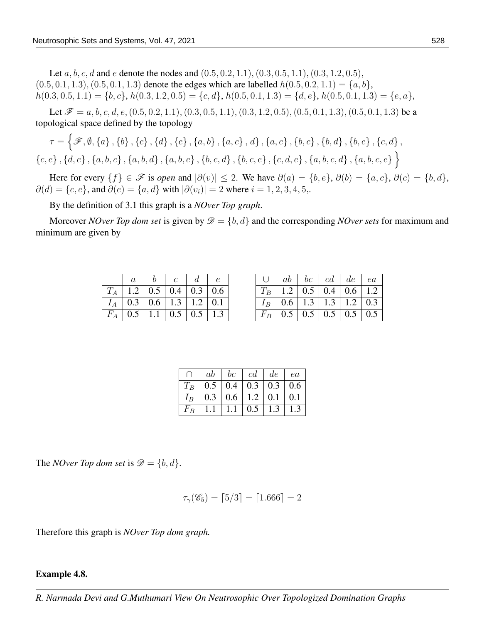Let a, b, c, d and e denote the nodes and  $(0.5, 0.2, 1.1), (0.3, 0.5, 1.1), (0.3, 1.2, 0.5),$  $(0.5, 0.1, 1.3), (0.5, 0.1, 1.3)$  denote the edges which are labelled  $h(0.5, 0.2, 1.1) = \{a, b\},\$  $h(0.3, 0.5, 1.1) = \{b, c\}, h(0.3, 1.2, 0.5) = \{c, d\}, h(0.5, 0.1, 1.3) = \{d, e\}, h(0.5, 0.1, 1.3) = \{e, a\}, h(0.5, 0.1, 1.3) = \{f, e\}$ 

Let  $\mathscr{F} = a, b, c, d, e, (0.5, 0.2, 1.1), (0.3, 0.5, 1.1), (0.3, 1.2, 0.5), (0.5, 0.1, 1.3), (0.5, 0.1, 1.3)$  be a topological space defined by the topology

$$
\tau = \left\{ \mathscr{F}, \emptyset, \{a\}, \{b\}, \{c\}, \{d\}, \{e\}, \{a,b\}, \{a,c\}, d\right\}, \{a,e\}, \{b,c\}, \{b,d\}, \{b,e\}, \{c,d\}, \{c,e\}, \{d,e\}, \{a,b,c\}, \{a,b,d\}, \{a,b,e\}, \{b,c,d\}, \{b,c,e\}, \{c,d,e\}, \{a,b,c,d\}, \{a,b,c,e\} \right\}
$$

Here for every  $\{f\} \in \mathcal{F}$  is *open* and  $|\partial(v)| \leq 2$ . We have  $\partial(a) = \{b, e\}$ ,  $\partial(b) = \{a, c\}$ ,  $\partial(c) = \{b, d\}$ ,  $∂(d) = {c, e}$ , and  $∂(e) = {a, d}$  with  $|∂(v_i)| = 2$  where  $i = 1, 2, 3, 4, 5,$ .

By the definition of 3.1 this graph is a *NOver Top graph*.

Moreover *NOver Top dom set* is given by  $\mathcal{D} = \{b, d\}$  and the corresponding *NOver sets* for maximum and minimum are given by

|       | $\it a$ |                                           | $\mathcal{C}$ |     | $\epsilon$ |
|-------|---------|-------------------------------------------|---------------|-----|------------|
|       |         | $1.2$   0.5   0.4   0.3   0.6             |               |     |            |
| $I_A$ |         | $0.3 \mid 0.6 \mid 1.3 \mid 1.2 \mid 0.1$ |               |     |            |
|       | 0.5     | 1.1                                       | 0.5           | 0.5 |            |

|       | ab  | bc  | cd                            | de  | ea  |
|-------|-----|-----|-------------------------------|-----|-----|
| $T_B$ |     |     | $1.2$   0.5   0.4   0.6   1.2 |     |     |
| $I_B$ |     |     | $0.6$   1.3   1.3   1.2   0.3 |     |     |
| $F_B$ | 0.5 | 0.5 | 0.5                           | 0.5 | 0.5 |

|  |  | $ab \mid bc \mid cd \mid de \mid ea$ |                                     |
|--|--|--------------------------------------|-------------------------------------|
|  |  |                                      | $T_B$   0.5   0.4   0.3   0.3   0.6 |
|  |  | $I_B$   0.3   0.6   1.2   0.1   0.1  |                                     |
|  |  | $F_B$   1.1   1.1   0.5   1.3   1.3  |                                     |

The *NOver Top dom set* is  $\mathcal{D} = \{b, d\}.$ 

$$
\tau_{\gamma}(\mathscr{C}_5) = \lceil 5/3 \rceil = \lceil 1.666 \rceil = 2
$$

Therefore this graph is *NOver Top dom graph.*

#### Example 4.8.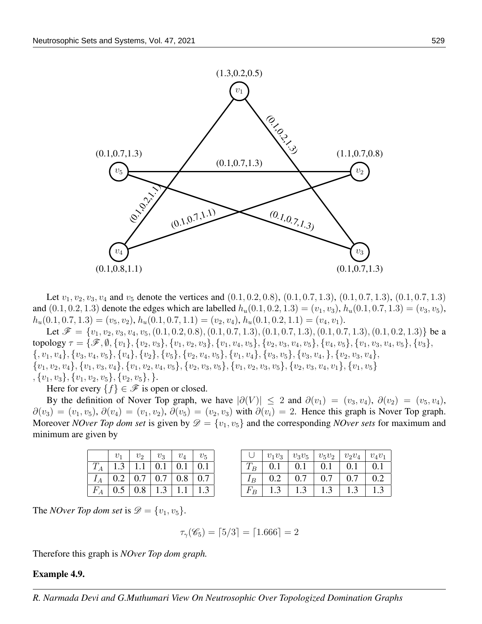

Let  $v_1, v_2, v_3, v_4$  and  $v_5$  denote the vertices and  $(0.1, 0.2, 0.8), (0.1, 0.7, 1.3), (0.1, 0.7, 1.3), (0.1, 0.7, 1.3)$ and  $(0.1, 0.2, 1.3)$  denote the edges which are labelled  $h_u(0.1, 0.2, 1.3) = (v_1, v_3), h_u(0.1, 0.7, 1.3) = (v_3, v_5)$ ,  $h_u(0.1, 0.7, 1.3) = (v_5, v_2), h_u(0.1, 0.7, 1.1) = (v_2, v_4), h_u(0.1, 0.2, 1.1) = (v_4, v_1).$ 

Let  $\mathscr{F} = \{v_1, v_2, v_3, v_4, v_5, (0.1, 0.2, 0.8), (0.1, 0.7, 1.3), (0.1, 0.7, 1.3), (0.1, 0.7, 1.3), (0.1, 0.2, 1.3)\}\)$  be a topology  $\tau = {\mathscr{F}, \emptyset, \{v_1\}, \{v_2, v_3\}, \{v_1, v_2, v_3\}, \{v_1, v_4, v_5\}, \{v_2, v_3, v_4, v_5\}, \{v_4, v_5\}, \{v_1, v_3, v_4, v_5\}, \{v_3\}, \{v_4, v_5\}}$  ${, v_1, v_4}, {v_3, v_4, v_5}, {v_4, v_5}, {v_4, v_5}, {v_2, v_5}, {v_3, v_4}, {v_5, v_4}, {v_3, v_5}, {v_3, v_4}, {v_2, v_3, v_4},$  ${v_1, v_2, v_4}, {v_1, v_3, v_4}, {v_1, v_2, v_4, v_5}, {v_2, v_3, v_5}, {v_1, v_2, v_3, v_5}, {v_2, v_3, v_4, v_1}, {v_1, v_5}$  $, \{v_1, v_3\}, \{v_1, v_2, v_5\}, \{v_2, v_5\}, \}$ .

Here for every  $\{f\} \in \mathcal{F}$  is open or closed.

By the definition of Nover Top graph, we have  $|\partial(V)| \leq 2$  and  $\partial(v_1) = (v_3, v_4)$ ,  $\partial(v_2) = (v_5, v_4)$ ,  $\partial(v_3) = (v_1, v_5), \partial(v_4) = (v_1, v_2), \partial(v_5) = (v_2, v_3)$  with  $\partial(v_i) = 2$ . Hence this graph is Nover Top graph. Moreover *NOver Top dom set* is given by  $\mathscr{D} = \{v_1, v_5\}$  and the corresponding *NOver sets* for maximum and minimum are given by

|       | $v_1$                                               | $v_{2}$                       | $v_3$ | $v_4$ | $v_{5}$ |
|-------|-----------------------------------------------------|-------------------------------|-------|-------|---------|
| $T_A$ |                                                     | $1.3$   1.1   0.1   0.1   0.1 |       |       |         |
| $I_A$ | $\vert 0.2 \vert 0.7 \vert 0.7 \vert 0.8 \vert 0.7$ |                               |       |       |         |
| $F_A$ |                                                     | $0.5 \, \, 0.8$               | 1.3   | 1.1   |         |

|       | $v_1v_3$ | $v_3v_5$ | $v_5v_2$ | $v_2v_4$ | $v_4v_1$ |
|-------|----------|----------|----------|----------|----------|
| $T_B$ | 0.1      | 0.1      | 0.1      | 0.1      | 0.1      |
| $1_B$ | 0.2      | 0.7      | 0.7      | 0.7      |          |
| $F_B$ |          | . . J    |          |          |          |

The *NOver Top dom set* is  $\mathcal{D} = \{v_1, v_5\}.$ 

$$
\tau_{\gamma}(\mathscr{C}_{5}) = \lceil 5/3 \rceil = \lceil 1.666 \rceil = 2
$$

Therefore this graph is *NOver Top dom graph.*

#### Example 4.9.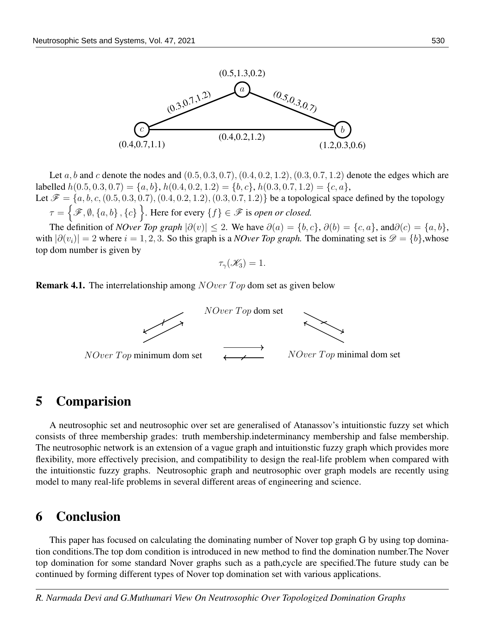

Let a, b and c denote the nodes and  $(0.5, 0.3, 0.7), (0.4, 0.2, 1.2), (0.3, 0.7, 1.2)$  denote the edges which are labelled  $h(0.5, 0.3, 0.7) = \{a, b\}, h(0.4, 0.2, 1.2) = \{b, c\}, h(0.3, 0.7, 1.2) = \{c, a\},$ 

Let  $\mathscr{F} = \{a, b, c, (0.5, 0.3, 0.7), (0.4, 0.2, 1.2), (0.3, 0.7, 1.2)\}\)$  be a topological space defined by the topology  $\tau = \{ \mathscr{F}, \emptyset, \{a, b\}$  ,  $\{c\}$   $\}$  . Here for every  $\{f\} \in \mathscr{F}$  is *open or closed*.

The definition of *NOver Top graph*  $|\partial(v)| \leq 2$ . We have  $\partial(a) = \{b, c\}, \partial(b) = \{c, a\}, \text{and}\partial(c) = \{a, b\},\$ with  $|\partial(v_i)| = 2$  where  $i = 1, 2, 3$ . So this graph is a *NOver Top graph*. The dominating set is  $\mathscr{D} = \{b\}$ , whose top dom number is given by

 $\tau_{\gamma}(\mathscr{K}_{3})=1.$ 





### 5 Comparision

A neutrosophic set and neutrosophic over set are generalised of Atanassov's intuitionstic fuzzy set which consists of three membership grades: truth membership.indeterminancy membership and false membership. The neutrosophic network is an extension of a vague graph and intuitionstic fuzzy graph which provides more flexibility, more effectively precision, and compatibility to design the real-life problem when compared with the intuitionstic fuzzy graphs. Neutrosophic graph and neutrosophic over graph models are recently using model to many real-life problems in several different areas of engineering and science.

### 6 Conclusion

This paper has focused on calculating the dominating number of Nover top graph G by using top domination conditions.The top dom condition is introduced in new method to find the domination number.The Nover top domination for some standard Nover graphs such as a path,cycle are specified.The future study can be continued by forming different types of Nover top domination set with various applications.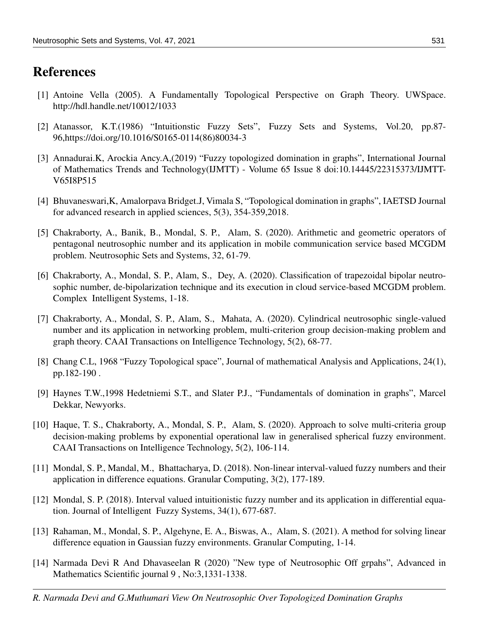# References

- [1] Antoine Vella (2005). A Fundamentally Topological Perspective on Graph Theory. UWSpace. http://hdl.handle.net/10012/1033
- [2] Atanassor, K.T.(1986) "Intuitionstic Fuzzy Sets", Fuzzy Sets and Systems, Vol.20, pp.87- 96,https://doi.org/10.1016/S0165-0114(86)80034-3
- [3] Annadurai.K, Arockia Ancy.A,(2019) "Fuzzy topologized domination in graphs", International Journal of Mathematics Trends and Technology(IJMTT) - Volume 65 Issue 8 doi:10.14445/22315373/IJMTT-V65I8P515
- [4] Bhuvaneswari,K, Amalorpava Bridget.J, Vimala S, "Topological domination in graphs", IAETSD Journal for advanced research in applied sciences, 5(3), 354-359,2018.
- [5] Chakraborty, A., Banik, B., Mondal, S. P., Alam, S. (2020). Arithmetic and geometric operators of pentagonal neutrosophic number and its application in mobile communication service based MCGDM problem. Neutrosophic Sets and Systems, 32, 61-79.
- [6] Chakraborty, A., Mondal, S. P., Alam, S., Dey, A. (2020). Classification of trapezoidal bipolar neutrosophic number, de-bipolarization technique and its execution in cloud service-based MCGDM problem. Complex Intelligent Systems, 1-18.
- [7] Chakraborty, A., Mondal, S. P., Alam, S., Mahata, A. (2020). Cylindrical neutrosophic single-valued number and its application in networking problem, multi-criterion group decision-making problem and graph theory. CAAI Transactions on Intelligence Technology, 5(2), 68-77.
- [8] Chang C.L, 1968 "Fuzzy Topological space", Journal of mathematical Analysis and Applications, 24(1), pp.182-190 .
- [9] Haynes T.W.,1998 Hedetniemi S.T., and Slater P.J., "Fundamentals of domination in graphs", Marcel Dekkar, Newyorks.
- [10] Haque, T. S., Chakraborty, A., Mondal, S. P., Alam, S. (2020). Approach to solve multi-criteria group decision-making problems by exponential operational law in generalised spherical fuzzy environment. CAAI Transactions on Intelligence Technology, 5(2), 106-114.
- [11] Mondal, S. P., Mandal, M., Bhattacharya, D. (2018). Non-linear interval-valued fuzzy numbers and their application in difference equations. Granular Computing, 3(2), 177-189.
- [12] Mondal, S. P. (2018). Interval valued intuitionistic fuzzy number and its application in differential equation. Journal of Intelligent Fuzzy Systems, 34(1), 677-687.
- [13] Rahaman, M., Mondal, S. P., Algehyne, E. A., Biswas, A., Alam, S. (2021). A method for solving linear difference equation in Gaussian fuzzy environments. Granular Computing, 1-14.
- [14] Narmada Devi R And Dhavaseelan R (2020) "New type of Neutrosophic Off grpahs", Advanced in Mathematics Scientific journal 9 , No:3,1331-1338.